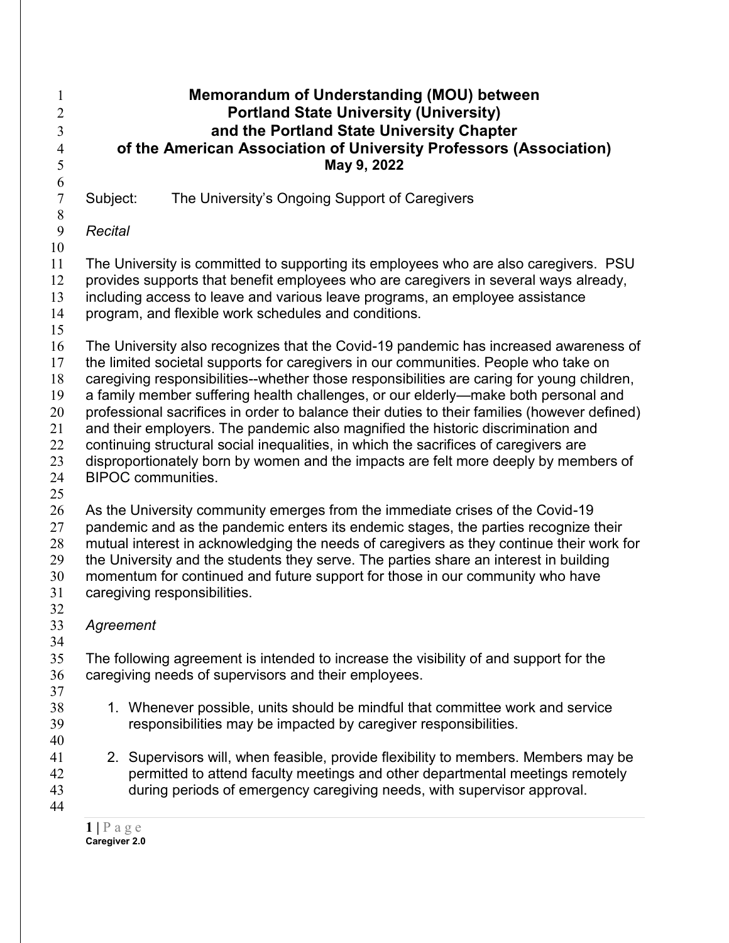## **Memorandum of Understanding (MOU) between Portland State University (University) and the Portland State University Chapter of the American Association of University Professors (Association) May 9, 2022**  $\frac{6}{7}$ Subject: The University's Ongoing Support of Caregivers *Recital* The University is committed to supporting its employees who are also caregivers. PSU provides supports that benefit employees who are caregivers in several ways already, including access to leave and various leave programs, an employee assistance program, and flexible work schedules and conditions. The University also recognizes that the Covid-19 pandemic has increased awareness of the limited societal supports for caregivers in our communities. People who take on caregiving responsibilities--whether those responsibilities are caring for young children, 19 a family member suffering health challenges, or our elderly—make both personal and professional sacrifices in order to balance their duties to their families (however defined) and their employers. The pandemic also magnified the historic discrimination and 22 continuing structural social inequalities, in which the sacrifices of caregivers are 23 disproportionately born by women and the impacts are felt more deeply by members of BIPOC communities. 26 As the University community emerges from the immediate crises of the Covid-19 pandemic and as the pandemic enters its endemic stages, the parties recognize their mutual interest in acknowledging the needs of caregivers as they continue their work for the University and the students they serve. The parties share an interest in building momentum for continued and future support for those in our community who have caregiving responsibilities. *Agreement* The following agreement is intended to increase the visibility of and support for the caregiving needs of supervisors and their employees. 1. Whenever possible, units should be mindful that committee work and service responsibilities may be impacted by caregiver responsibilities. 2. Supervisors will, when feasible, provide flexibility to members. Members may be permitted to attend faculty meetings and other departmental meetings remotely during periods of emergency caregiving needs, with supervisor approval.

 |  $P$  a g e **Caregiver 2.0**